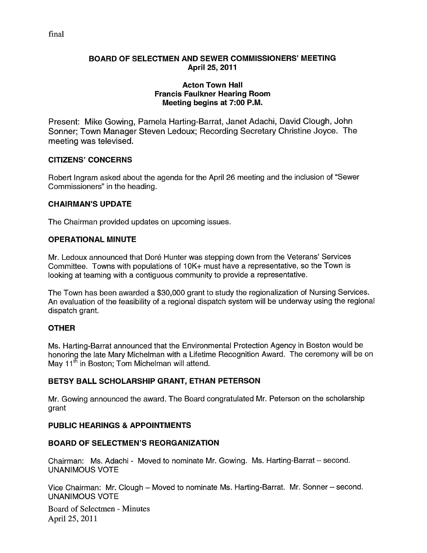## BOARD OF SELECTMEN AND SEWER COMMISSIONERS' MEETING April 25, 2011

### Acton Town Hall Francis Faulkner Hearing Room Meeting begins at 7:00 P.M.

Present: Mike Gowing, Pamela Harting-Barrat, Janet Adachi, David Clough, John Sonner; Town Manager Steven Ledoux; Recording Secretary Christine Joyce. The meeting was televised.

## CITIZENS' CONCERNS

Robert Ingram asked about the agenda for the April 26 meeting and the inclusion of "Sewer Commissioners" in the heading.

## CHAIRMAN'S UPDATE

The Chairman provided updates on upcoming issues.

## OPERATIONAL MINUTE

Mr. Ledoux announced that Doré Hunter was stepping down from the Veterans' Services Committee. Towns with populations of <sup>1</sup> OK+ must have a representative, so the Town is looking at teaming with a contiguous community to provide a representative.

The Town has been awarded a \$30,000 grant to study the regionalization of Nursing Services. An evaluation of the feasibility of a regional dispatch system will be underway using the regional dispatch grant.

# **OTHER**

Ms. Harting-Barrat announced that the Environmental Protection Agency in Boston would be honoring the late Mary Michelman with a Lifetime Recognition Award. The ceremony will be on May 11<sup>th</sup> in Boston; Tom Michelman will attend.

# BETSY BALL SCHOLARSHIP GRANT, ETHAN PETERSON

Mr. Gowing announced the award. The Board congratulated Mr. Peterson on the scholarship grant

# PUBLIC HEARINGS & APPOINTMENTS

## BOARD OF SELECTMEN'S REORGANIZATION

Chairman: Ms. Adachi - Moved to nominate Mr. Gowing. Ms. Harting-Barrat — second. UNANIMOUS VOTE

Vice Chairman: Mr. dough — Moved to nominate Ms. Harting-Barrat. Mr. Sonner — second. UNANIMOUS VOTE

Board of Selectmen - Minutes April 25, 2011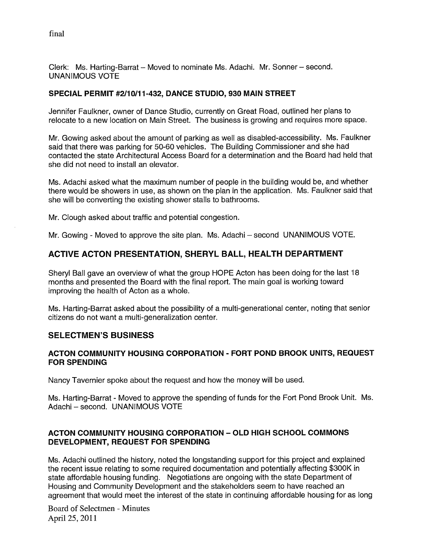Clerk: Ms. Harting-Barrat — Moved to nominate Ms. Adachi. Mr. Sonner — second. UNANIMOUS VOTE

## SPECIAL PERMIT #2/10/11-432, DANCE STUDIO, 930 MAIN STREET

Jennifer Faulkner, owner of Dance Studio, currently on Great Road, outlined her plans to relocate to a new location on Main Street. The business is growing and requires more space.

Mr. Gowing asked about the amount of parking as well as disabled-accessibility. Ms. Faulkner said that there was parking for 50-60 vehicles. The Building Commissioner and she had contacted the state Architectural Access Board for a determination and the Board had held that she did not need to install an elevator.

Ms. Adachi asked what the maximum number of people in the building would be, and whether there would be showers in use, as shown on the plan in the application. Ms. Faulkner said that she will be converting the existing shower stalls to bathrooms.

Mr. Clough asked about traffic and potential congestion.

Mr. Gowing - Moved to approve the site plan. Ms. Adachi — second UNANIMOUS VOTE.

# ACTIVE ACTON PRESENTATION, SHERYL BALL, HEALTH DEPARTMENT

Sheryl Ball gave an overview of what the group HOPE Acton has been doing for the last 18 months and presented the Board with the final report. The main goal is working toward improving the health of Acton as a whole.

Ms. Harting-Barrat asked about the possibility of a multi-generational center, noting that senior citizens do not want a multi-generalization center.

## SELECTMEN'S BUSINESS

### ACTON COMMUNITY HOUSING CORPORATION - FORT POND BROOK UNITS, REQUEST FOR SPENDING

Nancy Tavernier spoke about the request and how the money will be used.

Ms. Harting-Barrat - Moved to approve the spending of funds for the Fort Pond Brook Unit. Ms. Adachi — second. UNANIMOUS VOTE

## ACTON COMMUNITY HOUSING CORPORATION -OLD HIGH SCHOOL COMMONS DEVELOPMENT, REQUEST FOR SPENDING

Ms. Adachi outlined the history, noted the longstanding support for this project and explained the recent issue relating to some required documentation and potentially affecting \$300K in state affordable housing funding. Negotiations are ongoing with the state Department of Housing and Community Development and the stakeholders seem to have reached an agreement that would meet the interest of the state in continuing affordable housing for as long

Board of Selectmen -Minutes April 25, 2011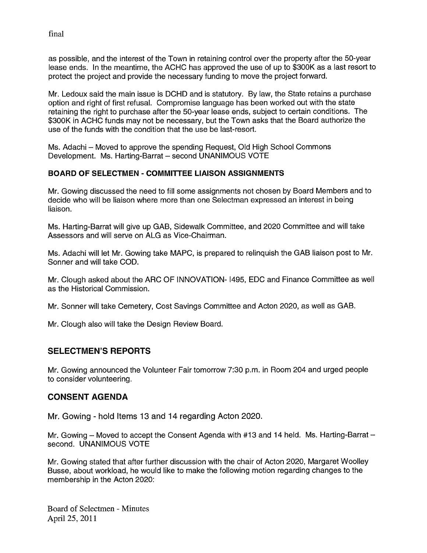as possible, and the interest of the Town in retaining control over the property after the 50-year lease ends. In the meantime, the ACHC has approved the use of up to \$300K as a last resort to protect the project and provide the necessary funding to move the project forward.

Mr. Ledoux said the main issue is DCHD and is statutory. By law, the State retains a purchase option and right of first refusal. Compromise language has been worked out with the state retaining the right to purchase after the 50-year lease ends, subject to certain conditions. The \$300K in ACHC funds may not be necessary, but the Town asks that the Board authorize the use of the funds with the condition that the use be last-resort.

Ms. Adachi — Moved to approve the spending Request, Old High School Commons Development. Ms. Harting-Barrat — second UNANIMOUS VOTE

## BOARD OF SELECTMEN - COMMITTEE LIAISON ASSIGNMENTS

Mr. Gowing discussed the need to fill some assignments not chosen by Board Members and to decide who will be liaison where more than one Selectman expressed an interest in being liaison.

Ms. Harting-Barrat will give up GAB, Sidewalk Committee, and 2020 Committee and will take Assessors and will serve on ALG as Vice-Chairman.

Ms. Adachi will let Mr. Gowing take MAPC, is prepared to relinquish the GAB liaison post to Mr. Sonner and will take COD.

Mr. Clough asked about the ARC OF INNOVATION- 1495, EDO and Finance Committee as well as the Historical Commission.

Mr. Sonner will take Cemetery, Cost Savings Committee and Acton 2020, as well as GAB.

Mr. Clough also will take the Design Review Board.

# SELECTMEN'S REPORTS

Mr. Gowing announced the Volunteer Fair tomorrow 7:30 p.m. in Room 204 and urged people to consider volunteering.

# CONSENT AGENDA

Mr. Gowing - hold Items 13 and 14 regarding Acton 2020.

Mr. Gowing — Moved to accept the Consent Agenda with #13 and 14 held. Ms. Harting-Barrat second. UNANIMOUS VOTE

Mr. Gowing stated that after further discussion with the chair of Acton 2020, Margaret Woolley Busse, about workload, he would like to make the following motion regarding changes to the membership in the Acton 2020:

Board of Selectmen -Minutes April 25, 2011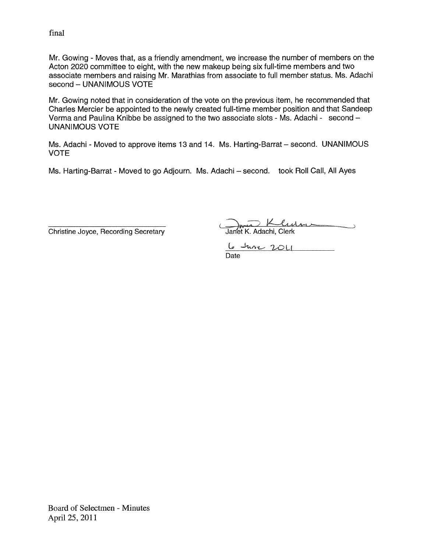Mr. Gowing - Moves that, as a friendly amendment, we increase the number of members on the Acton 2020 committee to eight, with the new makeup being six full-time members and two associate members and raising Mr. Marathias from associate to full member status. Ms. Adachi second - UNANIMOUS VOTE

Mr. Gowing noted that in consideration of the vote on the previous item, he recommended that Charles Mercier be appointed to the newly created full-time member position and that Sandeep Verma and Paulina Knibbe be assigned to the two associate slots - Ms. Adachi - second — UNANIMOUS VOTE

Ms. Adachi - Moved to approve items 13 and 14. Ms. Harting-Barrat - second. UNANIMOUS VOTE

Ms. Harting-Barrat - Moved to go Adjourn. Ms. Adachi - second. took Roll Call, All Ayes

Christine Joyce, Recording Secretary Janet K. Adachi, Clerk

 $\frac{6 \text{J} \text{m}}{2011}$ 

Board of Selectmen - Minutes April 25, 2011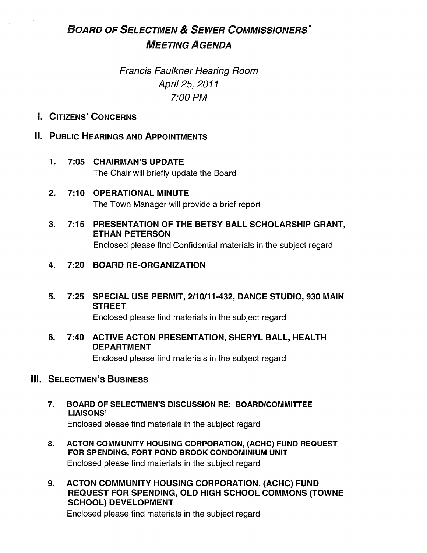# BOARD OF SELECTMEN & SEWER COMMISSIONERS' MEETING AGENDA

# Francis Faulkner Hearing Room April 25, 2071 7:00 PM

I. CITIZENS' CONCERNS

# **II. PUBLIC HEARINGS AND APPOINTMENTS**

- 1. 7:05 CHAIRMAN'S UPDATE The Chair will briefly update the Board
- 2. 7:10 OPERATIONAL MINUTE The Town Manager will provide a brief report
- 3. 7:15 PRESENTATION OF THE BETSY BALL SCHOLARSHIP GRANT, ETHAN PETERSON Enclosed please find Confidential materials in the subject regard

# 4. 7:20 BOARD RE-ORGANIZATION

5. 7:25 SPECIAL USE PERMIT, 2/10/11-432, DANCE STUDIO, 930 MAIN STREET

Enclosed please find materials in the subject regard

6. 7:40 ACTIVE ACTON PRESENTATION, SHERYL BALL, HEALTH DEPARTMENT

Enclosed please find materials in the subject regard

# III. SELECTMEN'S BUSINESS

- 7. BOARD OF SELECTMEN'S DISCUSSION RE: BOARD/COMMITTEE LIAISONS' Enclosed please find materials in the subject regard
- 8. ACTON COMMUNITY HOUSING CORPORATION, (ACHC) FUND REQUEST FOR SPENDING, FORT POND BROOK CONDOMINIUM UNIT Enclosed please find materials in the subject regard
- 9. ACTON COMMUNITY HOUSING CORPORATION, (ACHC) FUND REQUEST FOR SPENDING, OLD HIGH SCHOOL COMMONS (TOWNE SCHOOL) DEVELOPMENT

Enclosed please find materials in the subject regard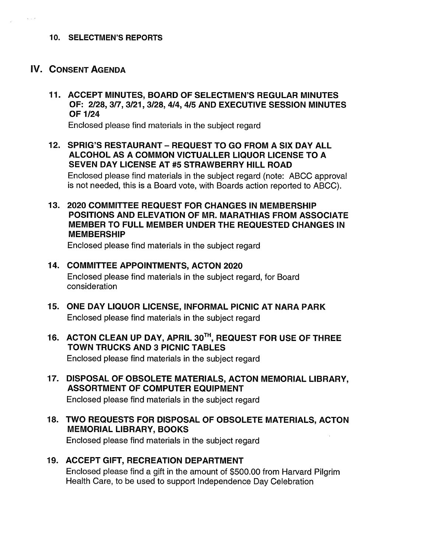## 10. SELECTMEN'S REPORTS

# V. CONSENT AGENDA

11. ACCEPT MINUTES, BOARD OF SELECTMEN'S REGULAR MINUTES OF: 2/28, 3/7,3/21,3/28,4/4,4/5 AND EXECUTIVE SESSION MINUTES OF 1/24

Enclosed please find materials in the subject regard

12. SPRIG'S RESTAURANT - REQUEST TO GO FROM A SIX DAY ALL ALCOHOL AS A COMMON VICTUALLER LIQUOR LICENSE TO A SEVEN DAY LICENSE AT #5 STRAWBERRY HILL ROAD

Enclosed please find materials in the subject regard (note: ABCC approval is not needed, this is a Board vote, with Boards action reported to ABCC).

13. 2020 COMMITTEE REQUEST FOR CHANGES IN MEMBERSHIP POSITIONS AND ELEVATION OF MR. MARATHIAS FROM ASSOCIATE MEMBER TO FULL MEMBER UNDER THE REQUESTED CHANGES IN MEMBERSHIP

Enclosed please find materials in the subject regard

- 14. COMMITTEE APPOINTMENTS, ACTON 2020 Enclosed please find materials in the subject regard, for Board consideration
- 15. ONE DAY LIQUOR LICENSE, INFORMAL PICNIC AT NARA PARK Enclosed please find materials in the subject regard
- 16. ACTON CLEAN UP DAY, APRIL 30TH, REQUEST FOR USE OF THREE TOWN TRUCKS AND 3 PICNIC TABLES

Enclosed please find materials in the subject regard

17. DISPOSAL OF OBSOLETE MATERIALS, ACTON MEMORIAL LIBRARY, ASSORTMENT OF COMPUTER EQUIPMENT

Enclosed please find materials in the subject regard

18. TWO REQUESTS FOR DISPOSAL OF OBSOLETE MATERIALS, ACTON MEMORIAL LIBRARY, BOOKS

Enclosed please find materials in the subject regard

19. ACCEPT GIFT, RECREATION DEPARTMENT Enclosed please find a gift in the amount of \$500.00 from Harvard Pilgrim Health Care, to be used to support Independence Day Celebration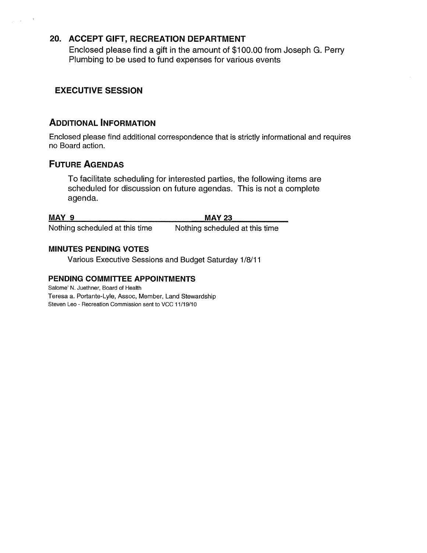# 20. ACCEPT GIFT, RECREATION DEPARTMENT

Enclosed please find a gift in the amount of \$100.00 from Joseph G. Perry Plumbing to be used to fund expenses for various events

# EXECUTIVE SESSION

# ADDITIONAL INFORMATION

Enclosed please find additional correspondence that is strictly informational and requires no Board action.

# FUTURE AGENDAS

To facilitate scheduling for interested parties, the following items are scheduled for discussion on future agendas. This is not a complete agenda.

MAY 9 MAY 23

Nothing scheduled at this time Nothing scheduled at this time

## MINUTES PENDING VOTES

Various Executive Sessions and Budget Saturday 1/8/11

## PENDING COMMITTEE APPOINTMENTS

Salome' N. Juethner, Board of Health Teresa a. Portante-Lyle, Assoc, Member, Land Stewardship Steven Leo - Recreation Commission sent to VCC 11/19/10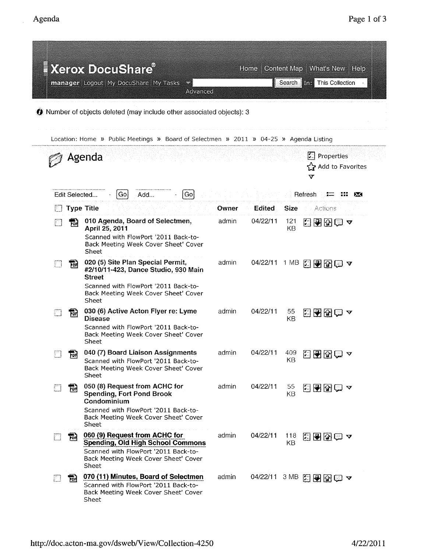|                                                                                       |            | <b>Xerox DocuShare®</b><br>manager Logout My DocuShare My Tasks<br>Advanced                                                                                                         |       | Home     |             | Content Map   What's New   Help<br>Search This Collection                       |  |  |  |  |  |
|---------------------------------------------------------------------------------------|------------|-------------------------------------------------------------------------------------------------------------------------------------------------------------------------------------|-------|----------|-------------|---------------------------------------------------------------------------------|--|--|--|--|--|
| We Number of objects deleted (may include other associated objects): 3                |            |                                                                                                                                                                                     |       |          |             |                                                                                 |  |  |  |  |  |
| Location: Home » Public Meetings » Board of Selectmen » 2011 » 04-25 » Agenda Listing |            |                                                                                                                                                                                     |       |          |             |                                                                                 |  |  |  |  |  |
|                                                                                       |            | Agenda                                                                                                                                                                              |       |          |             | $\vert \cdot \vert$ Properties<br>S Add to Favorites<br>$\overline{\mathbf{v}}$ |  |  |  |  |  |
| Go <br>Edit Selected<br>Go<br>Add<br>Refresh<br><b>235</b>                            |            |                                                                                                                                                                                     |       |          |             |                                                                                 |  |  |  |  |  |
|                                                                                       |            | <b>Type Title</b>                                                                                                                                                                   | Owner | Edited   | <b>Size</b> | Actions                                                                         |  |  |  |  |  |
|                                                                                       | 開          | 010 Agenda, Board of Selectmen,<br>April 25, 2011<br>Scanned with FlowPort '2011 Back-to-<br>Back Meeting Week Cover Sheet' Cover<br>Sheet                                          | admin | 04/22/11 | 121<br>KВ   | 3905∽                                                                           |  |  |  |  |  |
|                                                                                       | ᇜ          | 020 (5) Site Plan Special Permit,<br>#2/10/11-423, Dance Studio, 930 Main<br><b>Street</b><br>Scanned with FlowPort '2011 Back-to-<br>Back Meeting Week Cover Sheet' Cover<br>Sheet | admin | 04/22/11 | 1 MB        | 29501                                                                           |  |  |  |  |  |
|                                                                                       | 瓲          | 030 (6) Active Acton Flyer re: Lyme<br><b>Disease</b><br>Scanned with FlowPort '2011 Back-to-<br>Back Meeting Week Cover Sheet' Cover<br>Sheet                                      | admin | 04/22/11 | 55<br>KB    | 3000~                                                                           |  |  |  |  |  |
| LJ.                                                                                   | <u>ron</u> | 040 (7) Board Liaison Assignments<br>Scanned with FlowPort '2011 Back-to-<br>Back Meeting Week Cover Sheet' Cover<br>Sheet                                                          | admin | 04/22/11 | KB          | $^{409}$ 日子图面                                                                   |  |  |  |  |  |
|                                                                                       | For        | 050 (8) Request from ACHC for<br><b>Spending, Fort Pond Brook</b><br>Condominium<br>Scanned with FlowPort '2011 Back-to-<br>Back Meeting Week Cover Sheet' Cover<br>Sheet           | admin | 04/22/11 | 55<br>KB    | KRRQ⊃                                                                           |  |  |  |  |  |
|                                                                                       | ŦЫ         | 060 (9) Request from ACHC for<br><b>Spending, Old High School Commons</b><br>Scanned with FlowPort '2011 Back-to-<br>Back Meeting Week Cover Sheet' Cover<br>Sheet                  | admin | 04/22/11 | 118<br>KΒ   | 282€ 1                                                                          |  |  |  |  |  |
|                                                                                       | 鬝          | 070 (11) Minutes, Board of Selectmen<br>Scanned with FlowPort '2011 Back-to-<br>Back Meeting Week Cover Sheet' Cover<br>Sheet                                                       | admin |          |             | 04/22/11 3 MB 图图图图マ                                                             |  |  |  |  |  |